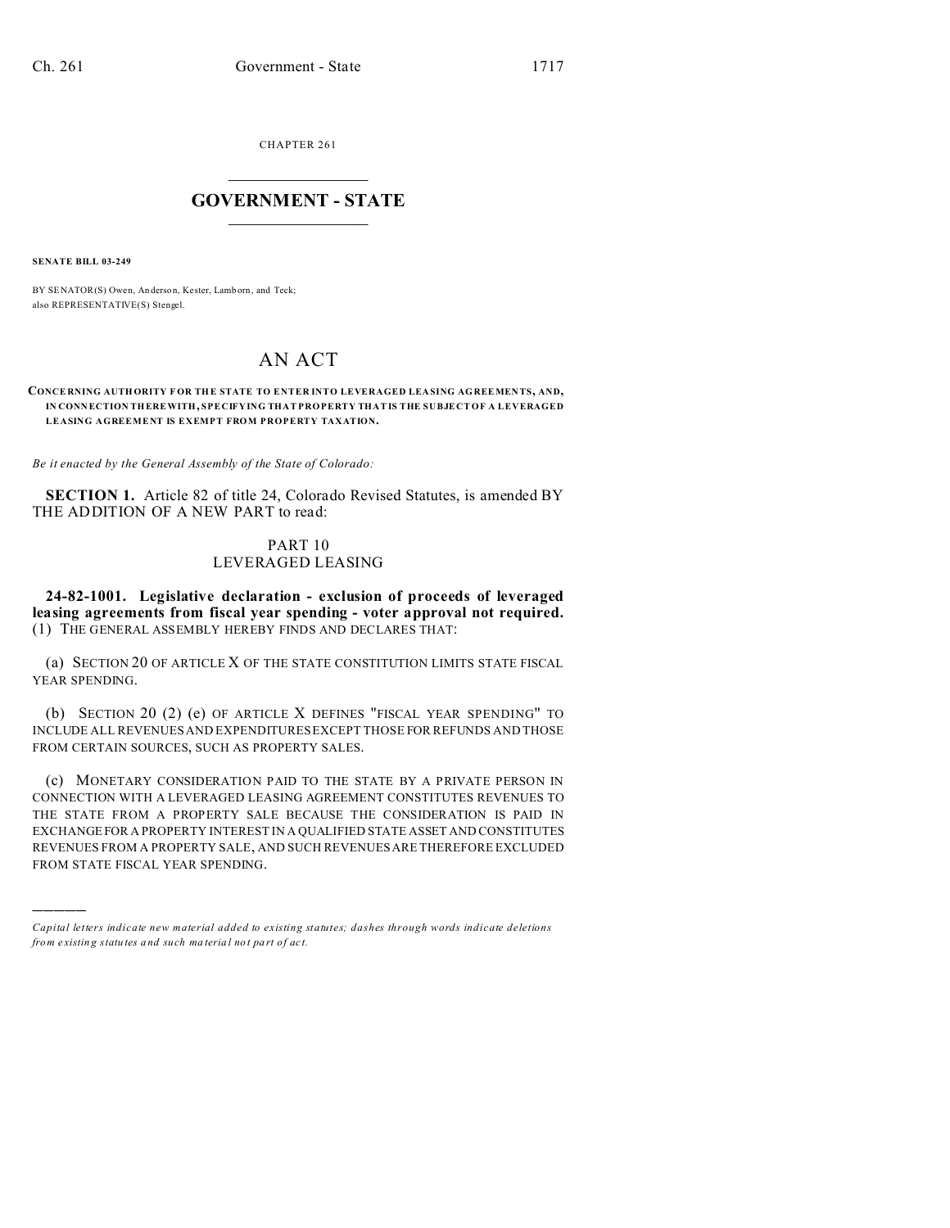CHAPTER 261  $\overline{\phantom{a}}$  , where  $\overline{\phantom{a}}$ 

## **GOVERNMENT - STATE**  $\_$   $\_$   $\_$   $\_$   $\_$   $\_$   $\_$   $\_$   $\_$

**SENATE BILL 03-249**

)))))

BY SENATOR(S) Owen, Anderson, Kester, Lamb orn, and Teck; also REPRESENTATIVE(S) Stengel.

# AN ACT

#### **CONCE RNING AUTH ORITY F OR THE STATE TO ENTER INTO LEVERAGED LEASING AGREEMEN TS, AND, IN CONN ECTION THEREWITH, SPECIFYING THAT PROPERTY THAT IS THE SUBJECT OF A LEVERAGED LEASING AGREEMENT IS EXEMPT FROM PROPERTY TAXATION.**

*Be it enacted by the General Assembly of the State of Colorado:*

**SECTION 1.** Article 82 of title 24, Colorado Revised Statutes, is amended BY THE ADDITION OF A NEW PART to read:

## PART 10 LEVERAGED LEASING

**24-82-1001. Legislative declaration - exclusion of proceeds of leveraged leasing agreements from fiscal year spending - voter approval not required.** (1) THE GENERAL ASSEMBLY HEREBY FINDS AND DECLARES THAT:

(a) SECTION 20 OF ARTICLE X OF THE STATE CONSTITUTION LIMITS STATE FISCAL YEAR SPENDING.

(b) SECTION 20 (2) (e) OF ARTICLE X DEFINES "FISCAL YEAR SPENDING" TO INCLUDE ALL REVENUES AND EXPENDITURES EXCEPT THOSE FOR REFUNDS AND THOSE FROM CERTAIN SOURCES, SUCH AS PROPERTY SALES.

(c) MONETARY CONSIDERATION PAID TO THE STATE BY A PRIVATE PERSON IN CONNECTION WITH A LEVERAGED LEASING AGREEMENT CONSTITUTES REVENUES TO THE STATE FROM A PROPERTY SALE BECAUSE THE CONSIDERATION IS PAID IN EXCHANGEFOR A PROPERTY INTEREST IN A QUALIFIED STATE ASSET AND CONSTITUTES REVENUES FROM A PROPERTY SALE, AND SUCH REVENUES ARE THEREFORE EXCLUDED FROM STATE FISCAL YEAR SPENDING.

*Capital letters indicate new material added to existing statutes; dashes through words indicate deletions from e xistin g statu tes a nd such ma teria l no t pa rt of ac t.*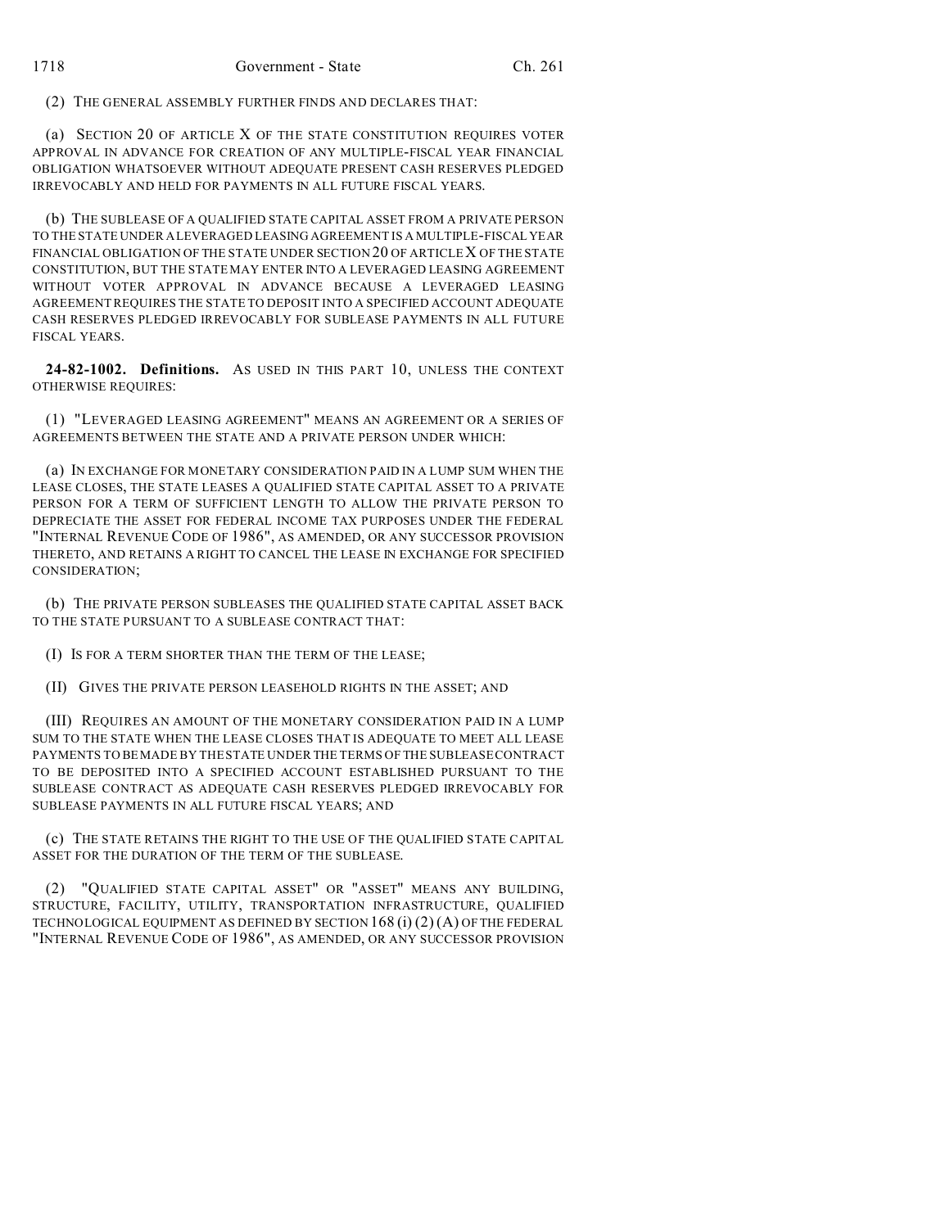(2) THE GENERAL ASSEMBLY FURTHER FINDS AND DECLARES THAT:

(a) SECTION 20 OF ARTICLE X OF THE STATE CONSTITUTION REQUIRES VOTER APPROVAL IN ADVANCE FOR CREATION OF ANY MULTIPLE-FISCAL YEAR FINANCIAL OBLIGATION WHATSOEVER WITHOUT ADEQUATE PRESENT CASH RESERVES PLEDGED IRREVOCABLY AND HELD FOR PAYMENTS IN ALL FUTURE FISCAL YEARS.

(b) THE SUBLEASE OF A QUALIFIED STATE CAPITAL ASSET FROM A PRIVATE PERSON TO THE STATE UNDER A LEVERAGED LEASING AGREEMENT IS A MULTIPLE-FISCAL YEAR FINANCIAL OBLIGATION OF THE STATE UNDER SECTION 20 OF ARTICLE X OF THE STATE CONSTITUTION, BUT THE STATE MAY ENTER INTO A LEVERAGED LEASING AGREEMENT WITHOUT VOTER APPROVAL IN ADVANCE BECAUSE A LEVERAGED LEASING AGREEMENT REQUIRES THE STATE TO DEPOSIT INTO A SPECIFIED ACCOUNT ADEQUATE CASH RESERVES PLEDGED IRREVOCABLY FOR SUBLEASE PAYMENTS IN ALL FUTURE FISCAL YEARS.

**24-82-1002. Definitions.** AS USED IN THIS PART 10, UNLESS THE CONTEXT OTHERWISE REQUIRES:

(1) "LEVERAGED LEASING AGREEMENT" MEANS AN AGREEMENT OR A SERIES OF AGREEMENTS BETWEEN THE STATE AND A PRIVATE PERSON UNDER WHICH:

(a) IN EXCHANGE FOR MONETARY CONSIDERATION PAID IN A LUMP SUM WHEN THE LEASE CLOSES, THE STATE LEASES A QUALIFIED STATE CAPITAL ASSET TO A PRIVATE PERSON FOR A TERM OF SUFFICIENT LENGTH TO ALLOW THE PRIVATE PERSON TO DEPRECIATE THE ASSET FOR FEDERAL INCOME TAX PURPOSES UNDER THE FEDERAL "INTERNAL REVENUE CODE OF 1986", AS AMENDED, OR ANY SUCCESSOR PROVISION THERETO, AND RETAINS A RIGHT TO CANCEL THE LEASE IN EXCHANGE FOR SPECIFIED CONSIDERATION;

(b) THE PRIVATE PERSON SUBLEASES THE QUALIFIED STATE CAPITAL ASSET BACK TO THE STATE PURSUANT TO A SUBLEASE CONTRACT THAT:

(I) IS FOR A TERM SHORTER THAN THE TERM OF THE LEASE;

(II) GIVES THE PRIVATE PERSON LEASEHOLD RIGHTS IN THE ASSET; AND

(III) REQUIRES AN AMOUNT OF THE MONETARY CONSIDERATION PAID IN A LUMP SUM TO THE STATE WHEN THE LEASE CLOSES THAT IS ADEQUATE TO MEET ALL LEASE PAYMENTS TO BEMADE BY THE STATE UNDER THE TERMS OF THE SUBLEASE CONTRACT TO BE DEPOSITED INTO A SPECIFIED ACCOUNT ESTABLISHED PURSUANT TO THE SUBLEASE CONTRACT AS ADEQUATE CASH RESERVES PLEDGED IRREVOCABLY FOR SUBLEASE PAYMENTS IN ALL FUTURE FISCAL YEARS; AND

(c) THE STATE RETAINS THE RIGHT TO THE USE OF THE QUALIFIED STATE CAPITAL ASSET FOR THE DURATION OF THE TERM OF THE SUBLEASE.

(2) "QUALIFIED STATE CAPITAL ASSET" OR "ASSET" MEANS ANY BUILDING, STRUCTURE, FACILITY, UTILITY, TRANSPORTATION INFRASTRUCTURE, QUALIFIED TECHNOLOGICAL EQUIPMENT AS DEFINED BY SECTION  $168(i)(2)(A)$  OF THE FEDERAL "INTERNAL REVENUE CODE OF 1986", AS AMENDED, OR ANY SUCCESSOR PROVISION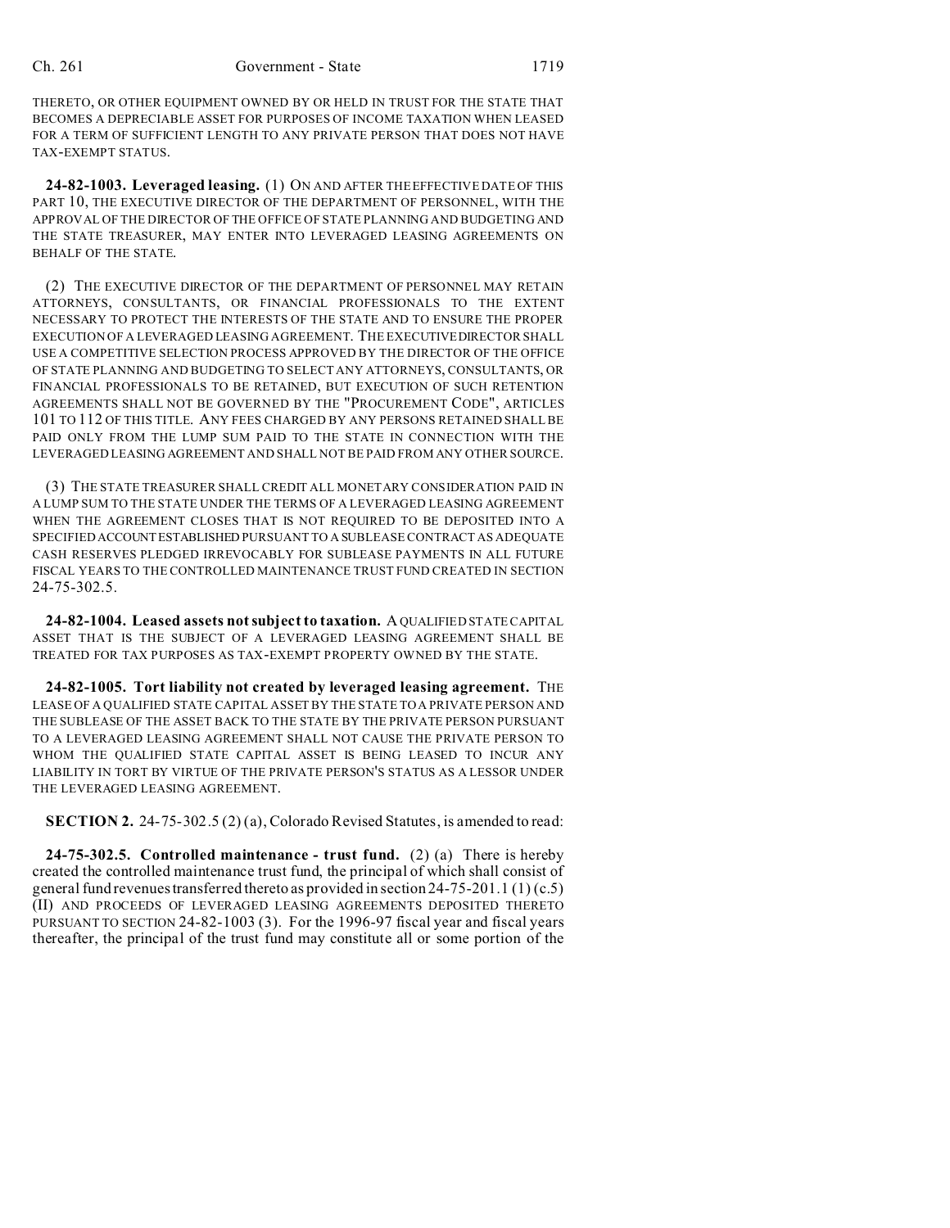THERETO, OR OTHER EQUIPMENT OWNED BY OR HELD IN TRUST FOR THE STATE THAT BECOMES A DEPRECIABLE ASSET FOR PURPOSES OF INCOME TAXATION WHEN LEASED FOR A TERM OF SUFFICIENT LENGTH TO ANY PRIVATE PERSON THAT DOES NOT HAVE TAX-EXEMPT STATUS.

**24-82-1003. Leveraged leasing.** (1) ON AND AFTER THE EFFECTIVE DATE OF THIS PART 10, THE EXECUTIVE DIRECTOR OF THE DEPARTMENT OF PERSONNEL, WITH THE APPROVAL OF THE DIRECTOR OF THE OFFICE OF STATE PLANNING AND BUDGETING AND THE STATE TREASURER, MAY ENTER INTO LEVERAGED LEASING AGREEMENTS ON BEHALF OF THE STATE.

(2) THE EXECUTIVE DIRECTOR OF THE DEPARTMENT OF PERSONNEL MAY RETAIN ATTORNEYS, CONSULTANTS, OR FINANCIAL PROFESSIONALS TO THE EXTENT NECESSARY TO PROTECT THE INTERESTS OF THE STATE AND TO ENSURE THE PROPER EXECUTION OF A LEVERAGED LEASING AGREEMENT. THE EXECUTIVEDIRECTOR SHALL USE A COMPETITIVE SELECTION PROCESS APPROVED BY THE DIRECTOR OF THE OFFICE OF STATE PLANNING AND BUDGETING TO SELECT ANY ATTORNEYS, CONSULTANTS, OR FINANCIAL PROFESSIONALS TO BE RETAINED, BUT EXECUTION OF SUCH RETENTION AGREEMENTS SHALL NOT BE GOVERNED BY THE "PROCUREMENT CODE", ARTICLES 101 TO 112 OF THIS TITLE. ANY FEES CHARGED BY ANY PERSONS RETAINED SHALL BE PAID ONLY FROM THE LUMP SUM PAID TO THE STATE IN CONNECTION WITH THE LEVERAGED LEASING AGREEMENT AND SHALL NOT BE PAID FROM ANY OTHER SOURCE.

(3) THE STATE TREASURER SHALL CREDIT ALL MONETARY CONSIDERATION PAID IN A LUMP SUM TO THE STATE UNDER THE TERMS OF A LEVERAGED LEASING AGREEMENT WHEN THE AGREEMENT CLOSES THAT IS NOT REQUIRED TO BE DEPOSITED INTO A SPECIFIEDACCOUNTESTABLISHED PURSUANT TO A SUBLEASE CONTRACT AS ADEQUATE CASH RESERVES PLEDGED IRREVOCABLY FOR SUBLEASE PAYMENTS IN ALL FUTURE FISCAL YEARS TO THE CONTROLLED MAINTENANCE TRUST FUND CREATED IN SECTION 24-75-302.5.

**24-82-1004. Leased assets not subject to taxation.** A QUALIFIED STATE CAPITAL ASSET THAT IS THE SUBJECT OF A LEVERAGED LEASING AGREEMENT SHALL BE TREATED FOR TAX PURPOSES AS TAX-EXEMPT PROPERTY OWNED BY THE STATE.

**24-82-1005. Tort liability not created by leveraged leasing agreement.** THE LEASE OF A QUALIFIED STATE CAPITAL ASSET BY THE STATE TO A PRIVATE PERSON AND THE SUBLEASE OF THE ASSET BACK TO THE STATE BY THE PRIVATE PERSON PURSUANT TO A LEVERAGED LEASING AGREEMENT SHALL NOT CAUSE THE PRIVATE PERSON TO WHOM THE QUALIFIED STATE CAPITAL ASSET IS BEING LEASED TO INCUR ANY LIABILITY IN TORT BY VIRTUE OF THE PRIVATE PERSON'S STATUS AS A LESSOR UNDER THE LEVERAGED LEASING AGREEMENT.

**SECTION 2.** 24-75-302.5 (2) (a), Colorado Revised Statutes, is amended to read:

**24-75-302.5. Controlled maintenance - trust fund.** (2) (a) There is hereby created the controlled maintenance trust fund, the principal of which shall consist of general fund revenues transferred thereto as provided in section  $24-75-201.1$  (1) (c.5) (II) AND PROCEEDS OF LEVERAGED LEASING AGREEMENTS DEPOSITED THERETO PURSUANT TO SECTION 24-82-1003 (3). For the 1996-97 fiscal year and fiscal years thereafter, the principal of the trust fund may constitute all or some portion of the